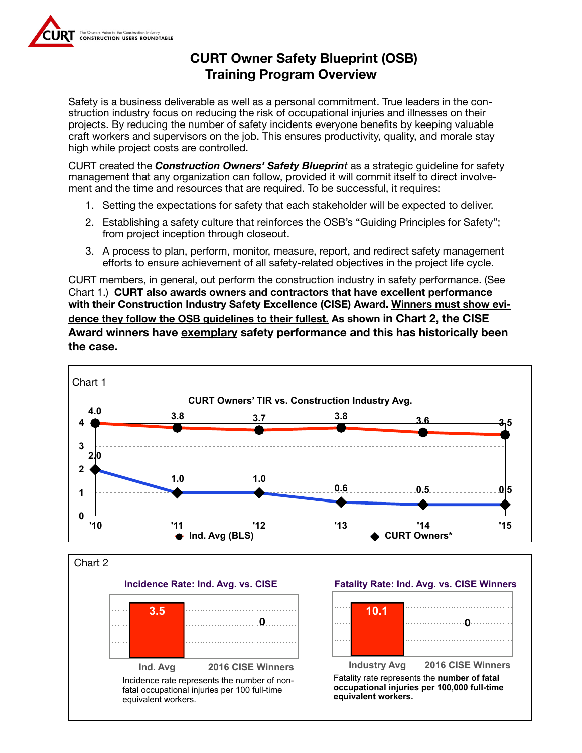

## **CURT Owner Safety Blueprint (OSB) Training Program Overview**

Safety is a business deliverable as well as a personal commitment. True leaders in the construction industry focus on reducing the risk of occupational injuries and illnesses on their projects. By reducing the number of safety incidents everyone benefits by keeping valuable craft workers and supervisors on the job. This ensures productivity, quality, and morale stay high while project costs are controlled.

CURT created the *Construction Owners' Safety Blueprint* as a strategic guideline for safety management that any organization can follow, provided it will commit itself to direct involvement and the time and resources that are required. To be successful, it requires:

- 1. Setting the expectations for safety that each stakeholder will be expected to deliver.
- 2. Establishing a safety culture that reinforces the OSB's "Guiding Principles for Safety"; from project inception through closeout.
- 3. A process to plan, perform, monitor, measure, report, and redirect safety management efforts to ensure achievement of all safety-related objectives in the project life cycle.

CURT members, in general, out perform the construction industry in safety performance. (See Chart 1.) **CURT also awards owners and contractors that have excellent performance with their Construction Industry Safety Excellence (CISE) Award. Winners must show evidence they follow the OSB guidelines to their fullest. As shown in Chart 2, the CISE Award winners have exemplary safety performance and this has historically been the case.**